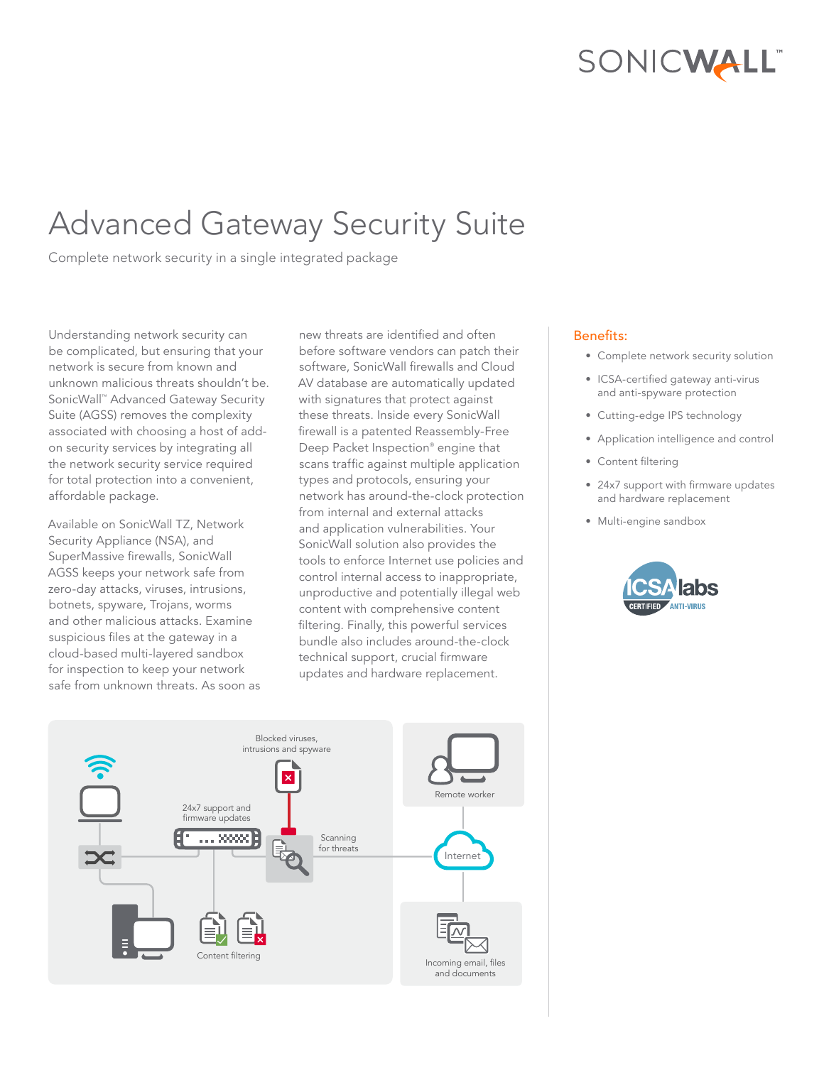# SONICWALL"

# Advanced Gateway Security Suite

Complete network security in a single integrated package

Understanding network security can be complicated, but ensuring that your network is secure from known and unknown malicious threats shouldn't be. SonicWall™ Advanced Gateway Security Suite (AGSS) removes the complexity associated with choosing a host of addon security services by integrating all the network security service required for total protection into a convenient, affordable package.

Available on SonicWall TZ, Network Security Appliance (NSA), and SuperMassive firewalls, SonicWall AGSS keeps your network safe from zero-day attacks, viruses, intrusions, botnets, spyware, Trojans, worms and other malicious attacks. Examine suspicious files at the gateway in a cloud-based multi-layered sandbox for inspection to keep your network safe from unknown threats. As soon as

new threats are identified and often before software vendors can patch their software, SonicWall firewalls and Cloud AV database are automatically updated with signatures that protect against these threats. Inside every SonicWall firewall is a patented Reassembly-Free Deep Packet Inspection® engine that scans traffic against multiple application types and protocols, ensuring your network has around-the-clock protection from internal and external attacks and application vulnerabilities. Your SonicWall solution also provides the tools to enforce Internet use policies and control internal access to inappropriate, unproductive and potentially illegal web content with comprehensive content filtering. Finally, this powerful services bundle also includes around-the-clock technical support, crucial firmware updates and hardware replacement.

## Benefits:

- Complete network security solution
- ICSA-certified gateway anti-virus and anti-spyware protection
- Cutting-edge IPS technology
- Application intelligence and control
- Content filtering
- 24x7 support with firmware updates and hardware replacement
- Multi-engine sandbox



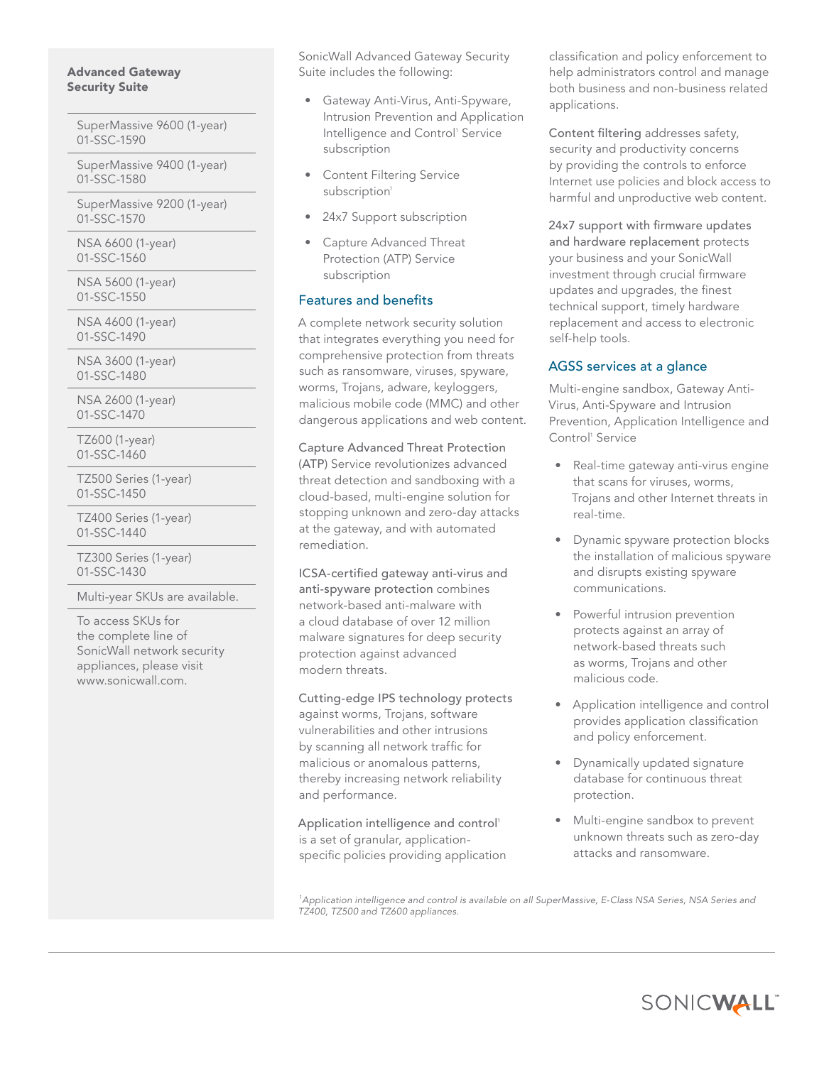#### Advanced Gateway Security Suite

SuperMassive 9600 (1-year) 01-SSC-1590

SuperMassive 9400 (1-year) 01-SSC-1580

SuperMassive 9200 (1-year) 01-SSC-1570

NSA 6600 (1-year) 01-SSC-1560

NSA 5600 (1-year) 01-SSC-1550

NSA 4600 (1-year) 01-SSC-1490

NSA 3600 (1-year) 01-SSC-1480

NSA 2600 (1-year) 01-SSC-1470

TZ600 (1-year) 01-SSC-1460

TZ500 Series (1-year) 01-SSC-1450

TZ400 Series (1-year) 01-SSC-1440

TZ300 Series (1-year) 01-SSC-1430

Multi-year SKUs are available.

To access SKUs for the complete line of SonicWall network security appliances, please visit [www.sonicwall.com.](www.sonicwall.com)

SonicWall Advanced Gateway Security Suite includes the following:

- Gateway Anti-Virus, Anti-Spyware, Intrusion Prevention and Application Intelligence and Control' Service subscription
- Content Filtering Service subscription<sup>1</sup>
- 24x7 Support subscription
- Capture Advanced Threat Protection (ATP) Service subscription

#### Features and benefits

A complete network security solution that integrates everything you need for comprehensive protection from threats such as ransomware, viruses, spyware, worms, Trojans, adware, keyloggers, malicious mobile code (MMC) and other dangerous applications and web content.

Capture Advanced Threat Protection (ATP) Service revolutionizes advanced threat detection and sandboxing with a cloud-based, multi-engine solution for stopping unknown and zero-day attacks at the gateway, and with automated remediation.

ICSA-certified gateway anti-virus and anti-spyware protection combines network-based anti-malware with a cloud database of over 12 million malware signatures for deep security protection against advanced modern threats.

Cutting-edge IPS technology protects against worms, Trojans, software vulnerabilities and other intrusions by scanning all network traffic for malicious or anomalous patterns, thereby increasing network reliability and performance.

Application intelligence and control<sup>1</sup> is a set of granular, applicationspecific policies providing application classification and policy enforcement to help administrators control and manage both business and non-business related applications.

Content filtering addresses safety, security and productivity concerns by providing the controls to enforce Internet use policies and block access to harmful and unproductive web content.

24x7 support with firmware updates and hardware replacement protects your business and your SonicWall investment through crucial firmware updates and upgrades, the finest technical support, timely hardware replacement and access to electronic self-help tools.

#### AGSS services at a glance

Multi-engine sandbox, Gateway Anti-Virus, Anti-Spyware and Intrusion Prevention, Application Intelligence and Control<sup>1</sup> Service

- Real-time gateway anti-virus engine that scans for viruses, worms, Trojans and other Internet threats in real-time.
- Dynamic spyware protection blocks the installation of malicious spyware and disrupts existing spyware communications.
- Powerful intrusion prevention protects against an array of network-based threats such as worms, Trojans and other malicious code.
- Application intelligence and control provides application classification and policy enforcement.
- Dynamically updated signature database for continuous threat protection.
- Multi-engine sandbox to prevent unknown threats such as zero-day attacks and ransomware.

*1 Application intelligence and control is available on all SuperMassive, E-Class NSA Series, NSA Series and TZ400, TZ500 and TZ600 appliances.*